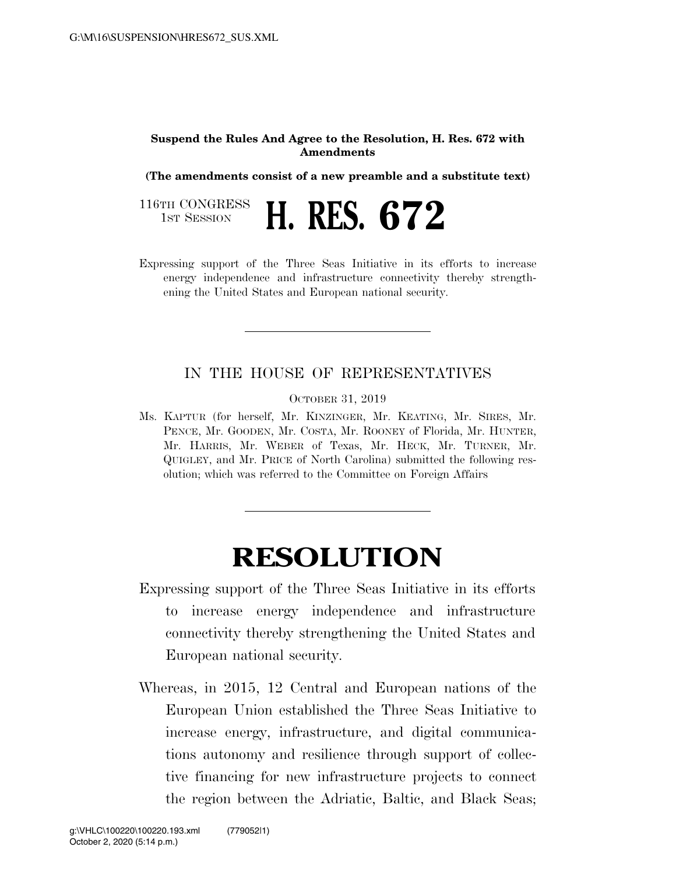## **Suspend the Rules And Agree to the Resolution, H. Res. 672 with Amendments**

**(The amendments consist of a new preamble and a substitute text)** 

116TH CONGRESS<br>1st Session 1ST SESSION **H. RES. 672** 

Expressing support of the Three Seas Initiative in its efforts to increase energy independence and infrastructure connectivity thereby strengthening the United States and European national security.

## IN THE HOUSE OF REPRESENTATIVES

OCTOBER 31, 2019

Ms. KAPTUR (for herself, Mr. KINZINGER, Mr. KEATING, Mr. SIRES, Mr. PENCE, Mr. GOODEN, Mr. COSTA, Mr. ROONEY of Florida, Mr. HUNTER, Mr. HARRIS, Mr. WEBER of Texas, Mr. HECK, Mr. TURNER, Mr. QUIGLEY, and Mr. PRICE of North Carolina) submitted the following resolution; which was referred to the Committee on Foreign Affairs

## **RESOLUTION**

- Expressing support of the Three Seas Initiative in its efforts to increase energy independence and infrastructure connectivity thereby strengthening the United States and European national security.
- Whereas, in 2015, 12 Central and European nations of the European Union established the Three Seas Initiative to increase energy, infrastructure, and digital communications autonomy and resilience through support of collective financing for new infrastructure projects to connect the region between the Adriatic, Baltic, and Black Seas;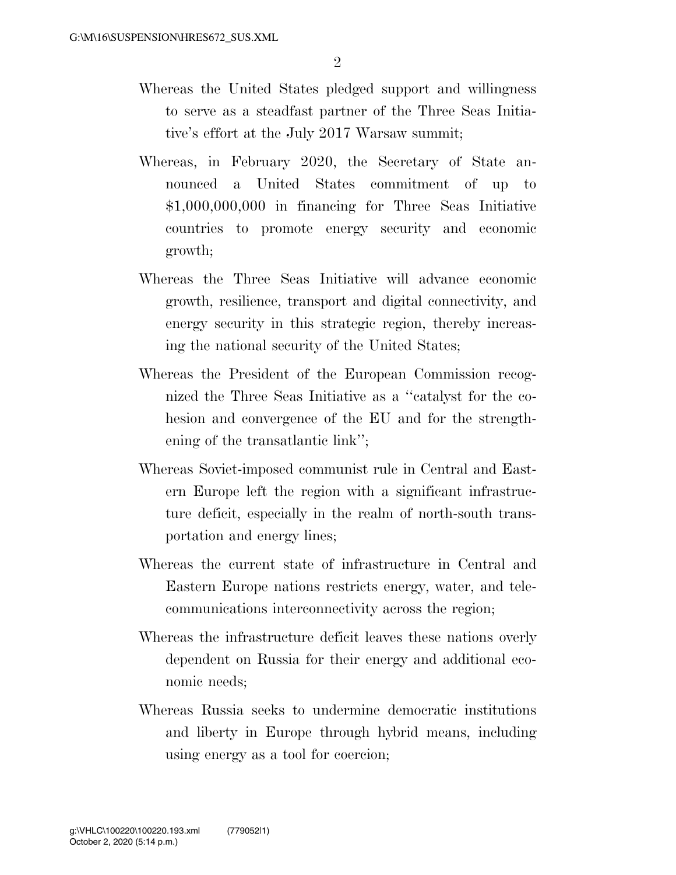- Whereas the United States pledged support and willingness to serve as a steadfast partner of the Three Seas Initiative's effort at the July 2017 Warsaw summit;
- Whereas, in February 2020, the Secretary of State announced a United States commitment of up to \$1,000,000,000 in financing for Three Seas Initiative countries to promote energy security and economic growth;
- Whereas the Three Seas Initiative will advance economic growth, resilience, transport and digital connectivity, and energy security in this strategic region, thereby increasing the national security of the United States;
- Whereas the President of the European Commission recognized the Three Seas Initiative as a ''catalyst for the cohesion and convergence of the EU and for the strengthening of the transatlantic link'';
- Whereas Soviet-imposed communist rule in Central and Eastern Europe left the region with a significant infrastructure deficit, especially in the realm of north-south transportation and energy lines;
- Whereas the current state of infrastructure in Central and Eastern Europe nations restricts energy, water, and telecommunications interconnectivity across the region;
- Whereas the infrastructure deficit leaves these nations overly dependent on Russia for their energy and additional economic needs;
- Whereas Russia seeks to undermine democratic institutions and liberty in Europe through hybrid means, including using energy as a tool for coercion;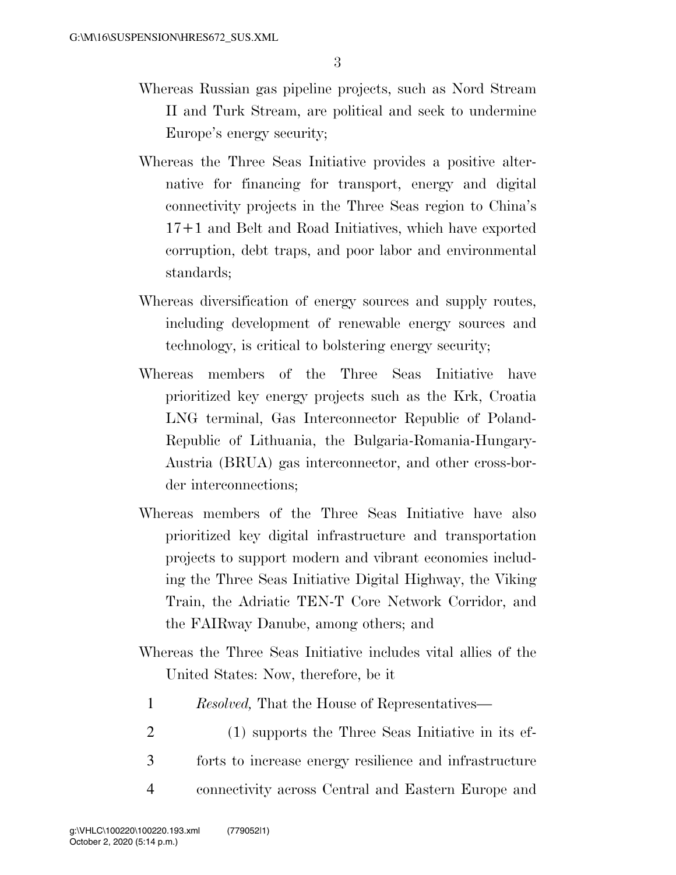- Whereas Russian gas pipeline projects, such as Nord Stream II and Turk Stream, are political and seek to undermine Europe's energy security;
- Whereas the Three Seas Initiative provides a positive alternative for financing for transport, energy and digital connectivity projects in the Three Seas region to China's 17+1 and Belt and Road Initiatives, which have exported corruption, debt traps, and poor labor and environmental standards;
- Whereas diversification of energy sources and supply routes, including development of renewable energy sources and technology, is critical to bolstering energy security;
- Whereas members of the Three Seas Initiative have prioritized key energy projects such as the Krk, Croatia LNG terminal, Gas Interconnector Republic of Poland-Republic of Lithuania, the Bulgaria-Romania-Hungary-Austria (BRUA) gas interconnector, and other cross-border interconnections;
- Whereas members of the Three Seas Initiative have also prioritized key digital infrastructure and transportation projects to support modern and vibrant economies including the Three Seas Initiative Digital Highway, the Viking Train, the Adriatic TEN-T Core Network Corridor, and the FAIRway Danube, among others; and
- Whereas the Three Seas Initiative includes vital allies of the United States: Now, therefore, be it
	- 1 *Resolved,* That the House of Representatives—
- 2 (1) supports the Three Seas Initiative in its ef-3 forts to increase energy resilience and infrastructure 4 connectivity across Central and Eastern Europe and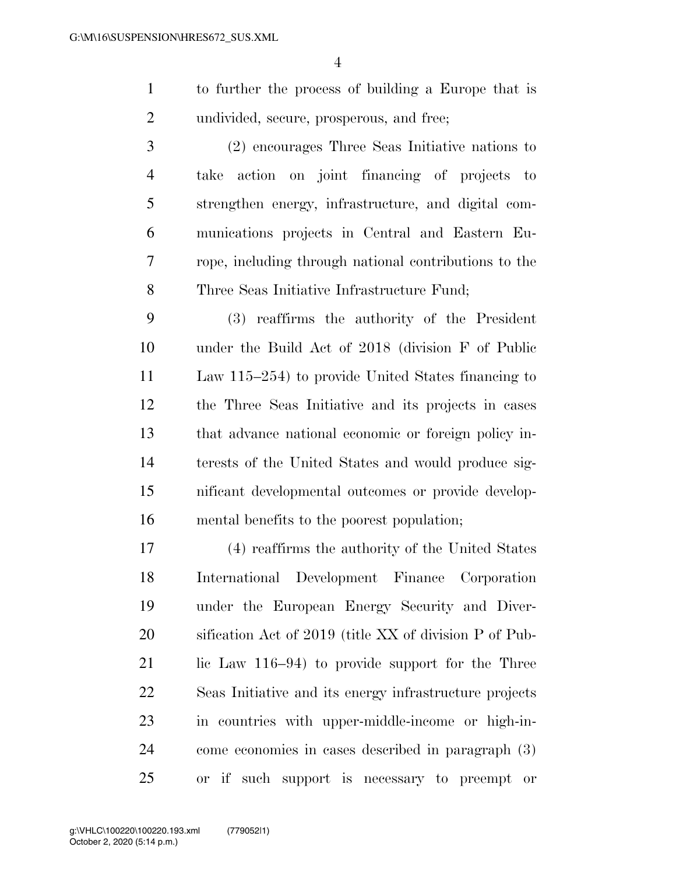to further the process of building a Europe that is undivided, secure, prosperous, and free;

 (2) encourages Three Seas Initiative nations to take action on joint financing of projects to strengthen energy, infrastructure, and digital com- munications projects in Central and Eastern Eu- rope, including through national contributions to the Three Seas Initiative Infrastructure Fund;

 (3) reaffirms the authority of the President under the Build Act of 2018 (division F of Public Law 115–254) to provide United States financing to the Three Seas Initiative and its projects in cases that advance national economic or foreign policy in- terests of the United States and would produce sig- nificant developmental outcomes or provide develop-mental benefits to the poorest population;

 (4) reaffirms the authority of the United States International Development Finance Corporation under the European Energy Security and Diver- sification Act of 2019 (title XX of division P of Pub-21 lic Law 116–94) to provide support for the Three Seas Initiative and its energy infrastructure projects in countries with upper-middle-income or high-in- come economies in cases described in paragraph (3) or if such support is necessary to preempt or